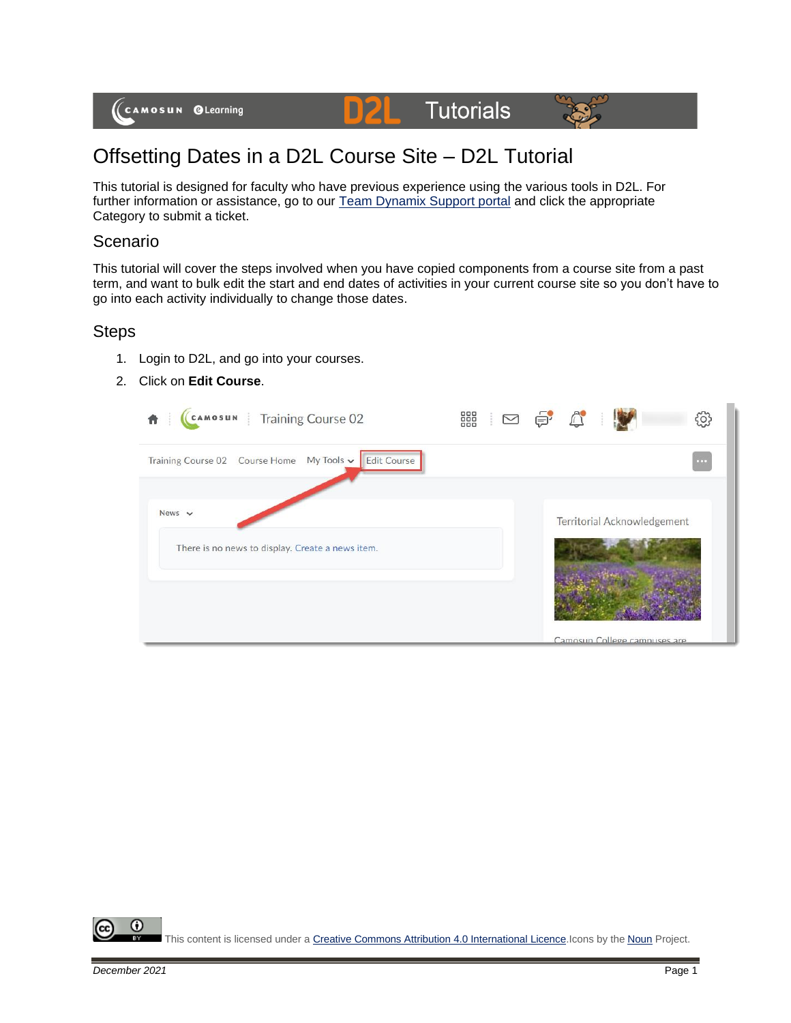





# Offsetting Dates in a D2L Course Site – D2L Tutorial

D

This tutorial is designed for faculty who have previous experience using the various tools in D2L. For further information or assistance, go to our **Team Dynamix Support portal** and click the appropriate Category to submit a ticket.

#### Scenario

This tutorial will cover the steps involved when you have copied components from a course site from a past term, and want to bulk edit the start and end dates of activities in your current course site so you don't have to go into each activity individually to change those dates.

## Steps

- 1. Login to D2L, and go into your courses.
- 2. Click on **Edit Course**.

| œ                                  |
|------------------------------------|
| <b>Territorial Acknowledgement</b> |
| Camosun College campuses are       |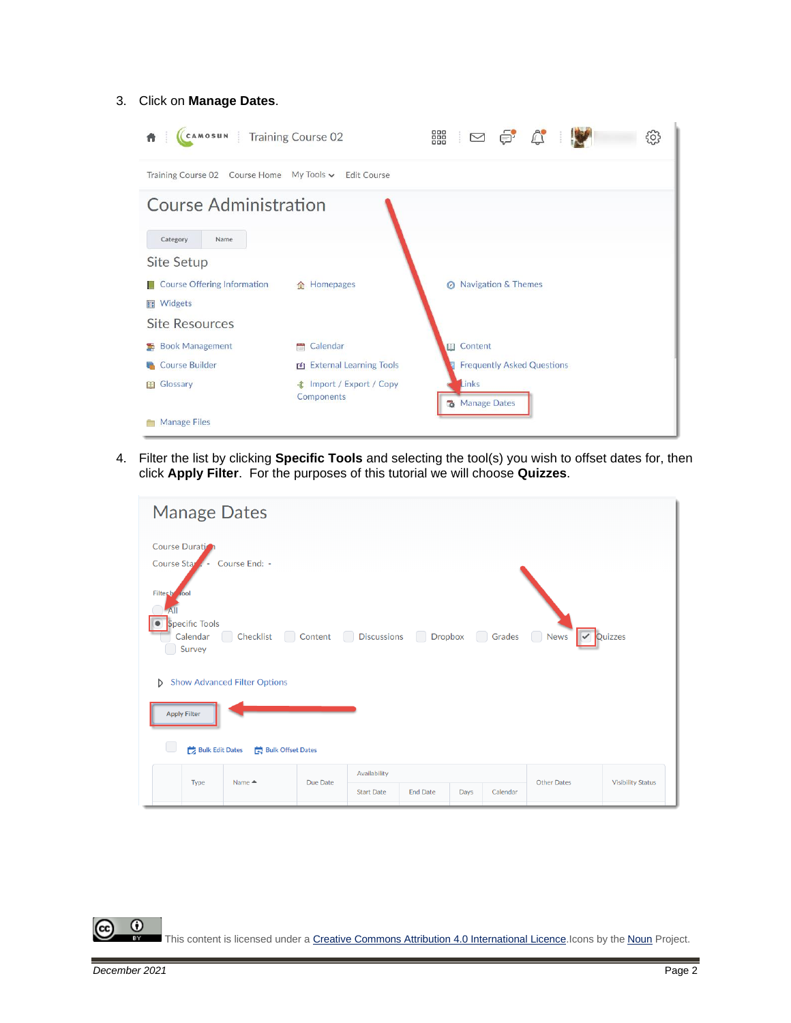#### 3. Click on **Manage Dates**.

| CAMOSUN   Training Course 02<br>俞                     |                                               | 器 ⊠ ⊜ ↓ ☆                         |  | <u>{၀}</u> |
|-------------------------------------------------------|-----------------------------------------------|-----------------------------------|--|------------|
| Training Course 02 Course Home My Tools v Edit Course |                                               |                                   |  |            |
| <b>Course Administration</b><br>Name                  |                                               |                                   |  |            |
| Category<br>Site Setup                                |                                               |                                   |  |            |
| <b>Course Offering Information</b><br><b>Widgets</b>  | 合 Homepages                                   | <b>8</b> Navigation & Themes      |  |            |
| <b>Site Resources</b>                                 |                                               |                                   |  |            |
| <b>Book Management</b><br>$\mathbf{r}$                | Calendar<br>÷                                 | <b>III</b> Content                |  |            |
| <b>Course Builder</b>                                 | <b>External Learning Tools</b>                | <b>Frequently Asked Questions</b> |  |            |
| Glossary<br>m                                         | <b>  import / Export / Copy</b><br>Components | Links<br>Manage Dates             |  |            |
| <b>Manage Files</b>                                   |                                               |                                   |  |            |

4. Filter the list by clicking **Specific Tools** and selecting the tool(s) you wish to offset dates for, then click **Apply Filter**. For the purposes of this tutorial we will choose **Quizzes**.

| <b>Manage Dates</b>                                                                                                                                                                                                  |                                   |                 |      |          |                    |                          |  |  |  |
|----------------------------------------------------------------------------------------------------------------------------------------------------------------------------------------------------------------------|-----------------------------------|-----------------|------|----------|--------------------|--------------------------|--|--|--|
| Course Duration<br>Course End: -<br>Course Star . -<br><b>Filter</b> by<br><b>Tool</b><br><b>Specific Tools</b><br>$\bullet$<br>Checklist Content Discussions Dropbox Grades News<br>V Quizzes<br>Calendar<br>Survey |                                   |                 |      |          |                    |                          |  |  |  |
| Show Advanced Filter Options<br><b>Apply Filter</b>                                                                                                                                                                  |                                   |                 |      |          |                    |                          |  |  |  |
| <b>Bulk Edit Dates</b><br><b>Bulk Offset Dates</b>                                                                                                                                                                   |                                   |                 |      |          |                    |                          |  |  |  |
| Name $\triangle$<br>Due Date<br>Type                                                                                                                                                                                 | Availability<br><b>Start Date</b> | <b>End Date</b> | Days | Calendar | <b>Other Dates</b> | <b>Visibility Status</b> |  |  |  |

This content is licensed under [a Creative Commons Attribution 4.0 International Licence.I](https://creativecommons.org/licenses/by/4.0/)cons by the [Noun](https://creativecommons.org/website-icons/) Project.

 $\overline{\odot}$ 

(cc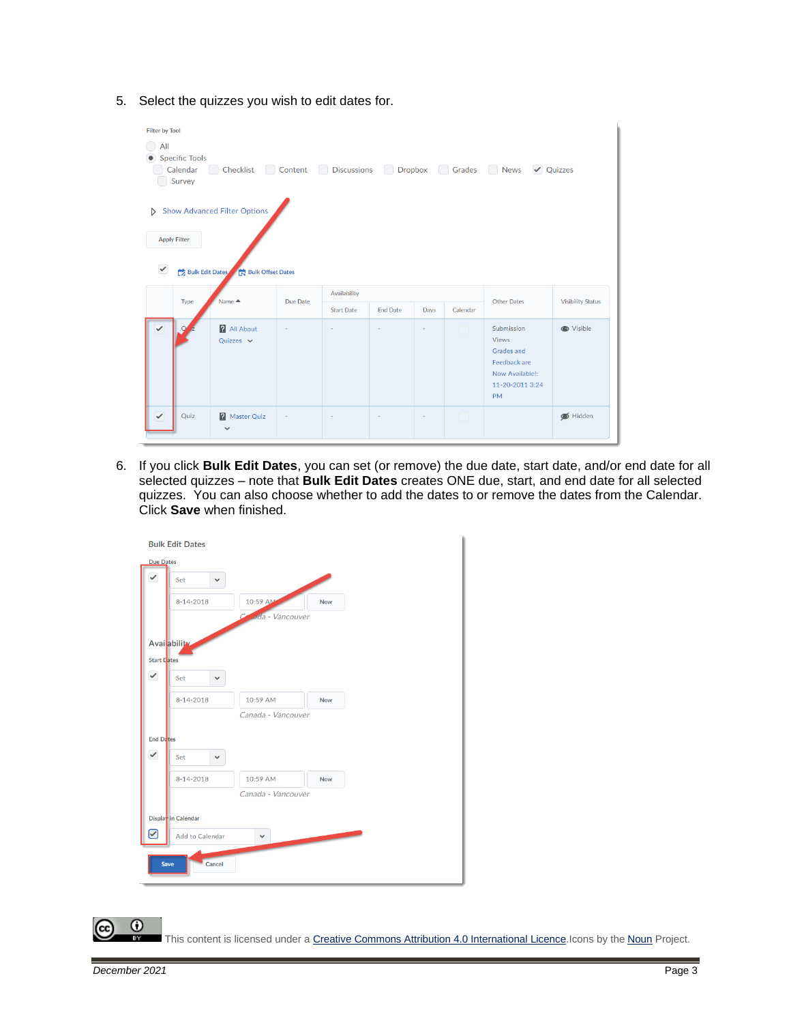5. Select the quizzes you wish to edit dates for.

| <b>Filter by Tool</b><br>All<br><b>Specific Tools</b><br>Checklist Content Discussions Dropbox Grades News Quizzes<br>Calendar<br>Survey |                                                                                                |  |  |  |   |  |                                                                                                             |                          |  |
|------------------------------------------------------------------------------------------------------------------------------------------|------------------------------------------------------------------------------------------------|--|--|--|---|--|-------------------------------------------------------------------------------------------------------------|--------------------------|--|
| <b>Apply Filter</b><br>$\checkmark$                                                                                                      | Show Advanced Filter Options<br>Bulk Edit Dates Bulk Offset Dates                              |  |  |  |   |  |                                                                                                             |                          |  |
| Type                                                                                                                                     | Availability<br>Name ▲<br>Due Date<br><b>Start Date</b><br><b>End Date</b><br>Calendar<br>Days |  |  |  |   |  | <b>Other Dates</b>                                                                                          | <b>Visibility Status</b> |  |
| $\Omega$                                                                                                                                 | <b>All About</b><br>Quizzes $\vee$                                                             |  |  |  | ٠ |  | Submission<br><b>Views</b><br>Grades and<br>Feedback are<br>Now Available!:<br>11-20-2011 3:24<br><b>PM</b> | <b>O</b> Visible         |  |
| $\checkmark$<br>Quiz                                                                                                                     | <b>P</b> Master Quiz<br>$\sim$                                                                 |  |  |  | ٠ |  |                                                                                                             | Hidden                   |  |

6. If you click **Bulk Edit Dates**, you can set (or remove) the due date, start date, and/or end date for all selected quizzes – note that **Bulk Edit Dates** creates ONE due, start, and end date for all selected quizzes. You can also choose whether to add the dates to or remove the dates from the Calendar. Click **Save** when finished.



This content is licensed under [a Creative Commons Attribution 4.0 International Licence.I](https://creativecommons.org/licenses/by/4.0/)cons by the [Noun](https://creativecommons.org/website-icons/) Project.

 $\odot$ 

ſα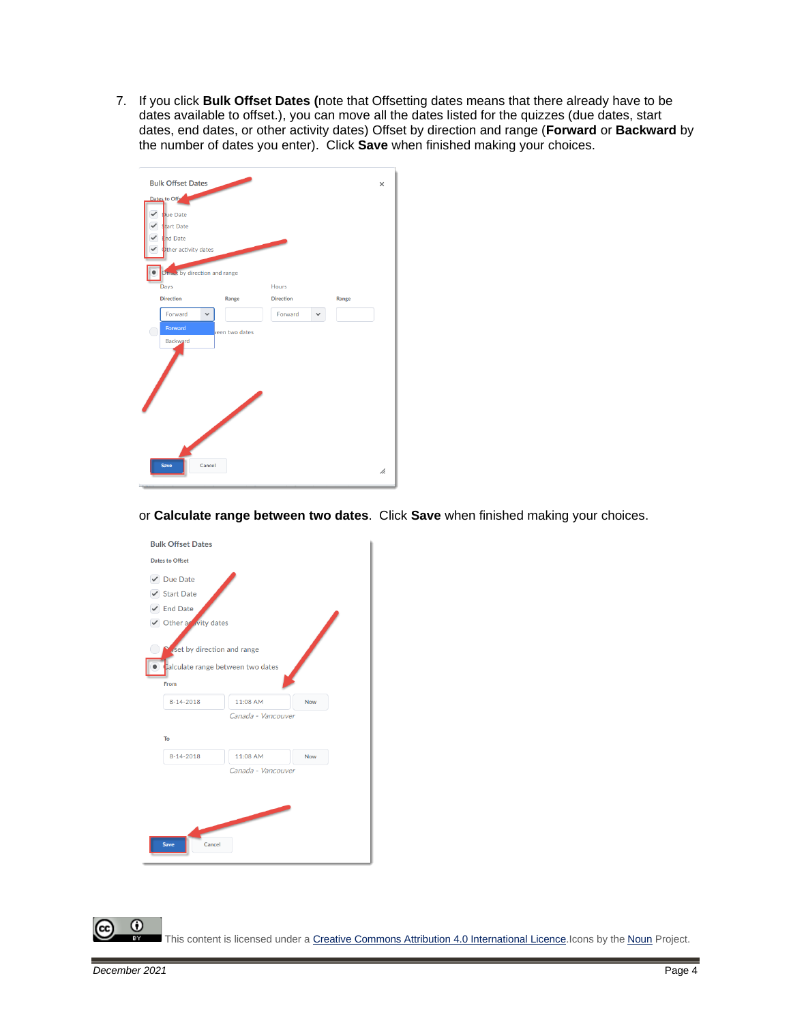7. If you click **Bulk Offset Dates (**note that Offsetting dates means that there already have to be dates available to offset.), you can move all the dates listed for the quizzes (due dates, start dates, end dates, or other activity dates) Offset by direction and range (**Forward** or **Backward** by the number of dates you enter). Click **Save** when finished making your choices.



or **Calculate range between two dates**. Click **Save** when finished making your choices.



This content is licensed under [a Creative Commons Attribution 4.0 International Licence.I](https://creativecommons.org/licenses/by/4.0/)cons by the [Noun](https://creativecommons.org/website-icons/) Project.

 $\odot$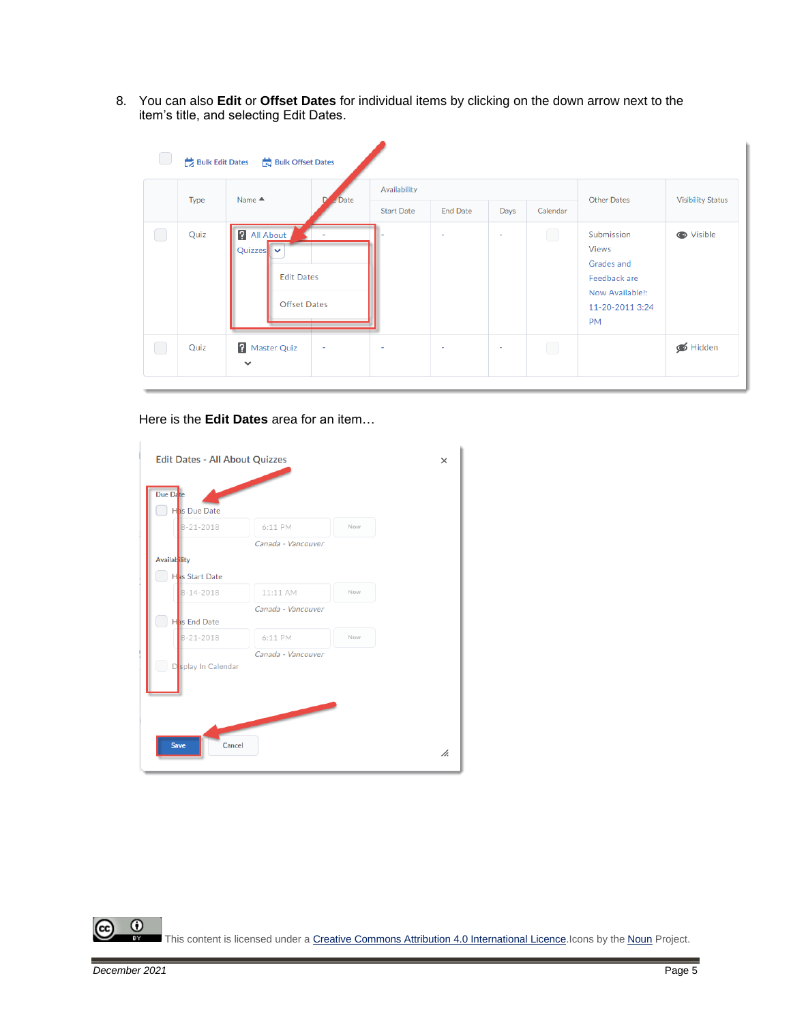8. You can also **Edit** or **Offset Dates** for individual items by clicking on the down arrow next to the item's title, and selecting Edit Dates.

| Type      | Name $\triangle$                             | $e$ Date                                 | Availability      |                          |        |            |                                                                                                             |                          |
|-----------|----------------------------------------------|------------------------------------------|-------------------|--------------------------|--------|------------|-------------------------------------------------------------------------------------------------------------|--------------------------|
|           |                                              |                                          | <b>Start Date</b> | <b>End Date</b>          | Days   | Calendar   | <b>Other Dates</b>                                                                                          | <b>Visibility Status</b> |
| Quiz<br>U | <b>All About</b><br>Quizzes $\triangleright$ | <b>Edit Dates</b><br><b>Offset Dates</b> |                   | $\overline{\phantom{a}}$ | $\sim$ | $\bigcirc$ | Submission<br><b>Views</b><br>Grades and<br>Feedback are<br>Now Available!:<br>11-20-2011 3:24<br><b>PM</b> | <b>O</b> Visible         |
| Quiz<br>U | <b>A</b> Master Quiz                         | $\sim$                                   | ٠                 | $\sim$                   | $\sim$ | $\Box$     |                                                                                                             | Hidden                   |

Here is the **Edit Dates** area for an item…

| Due Date<br>Has Due Date |                    |     |  |
|--------------------------|--------------------|-----|--|
| $8 - 21 - 2018$          | 6:11 PM            | Now |  |
|                          | Canada - Vancouver |     |  |
| <b>Availab</b> ility     |                    |     |  |
| Has Start Date           |                    |     |  |
| $8 - 14 - 2018$          | 11:11 AM           | Now |  |
|                          | Canada - Vancouver |     |  |
| Has End Date             |                    |     |  |
| $8 - 21 - 2018$          | 6:11 PM            | Now |  |
|                          | Canada - Vancouver |     |  |
| Do Splay In Calendar     |                    |     |  |
|                          |                    |     |  |
|                          |                    |     |  |
|                          |                    |     |  |

 $\overline{0}$ (cc This content is licensed under [a Creative Commons Attribution 4.0 International Licence.I](https://creativecommons.org/licenses/by/4.0/)cons by the [Noun](https://creativecommons.org/website-icons/) Project.

×